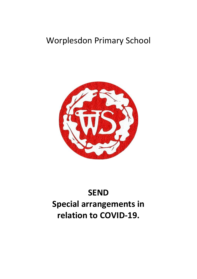## Worplesdon Primary School



# **SEND Special arrangements in relation to COVID-19.**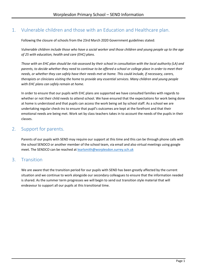### <span id="page-2-0"></span>1. Vulnerable children and those with an Education and Healthcare plan.

Following the closure of schools from the 23rd March 2020 Government guidelines stated:

*Vulnerable children include those who have a social worker and those children and young people up to the age of 25 with education, health and care (EHC) plans.*

*Those with an EHC plan should be risk-assessed by their school in consultation with the local authority (LA) and parents, to decide whether they need to continue to be offered a school or college place in order to meet their needs, or whether they can safely have their needs met at home. This could include, if necessary, carers, therapists or clinicians visiting the home to provide any essential services. Many children and young people with EHC plans can safely remain at home.*

In order to ensure that our pupils with EHC plans are supported we have consulted families with regards to whether or not their child needs to attend school. We have ensured that the expectations for work being done at home is understood and that pupils can access the work being set by school staff. As a school we are undertaking regular check-ins to ensure that pupil's outcomes are kept at the forefront and that their emotional needs are being met. Work set by class teachers takes in to account the needs of the pupils in their classes.

#### <span id="page-2-1"></span>2. Support for parents.

Parents of our pupils with SEND may require our support at this time and this can be through phone calls with the school SENDCO or another member of the school team, via email and also virtual meetings using google meet. The SENDCO can be reached at [learlsmith@worplesdon.surrey.sch.uk](mailto:learlsmith@worplesdon.surrey.sch.uk)

#### 3. Transition

We are aware that the transition period for our pupils with SEND has been greatly affected by the current situation and we continue to work alongside our secondary colleagues to ensure that the information needed is shared. As the summer term progresses we will begin to send out transition style material that will endeavour to support all our pupils at this transitional time.